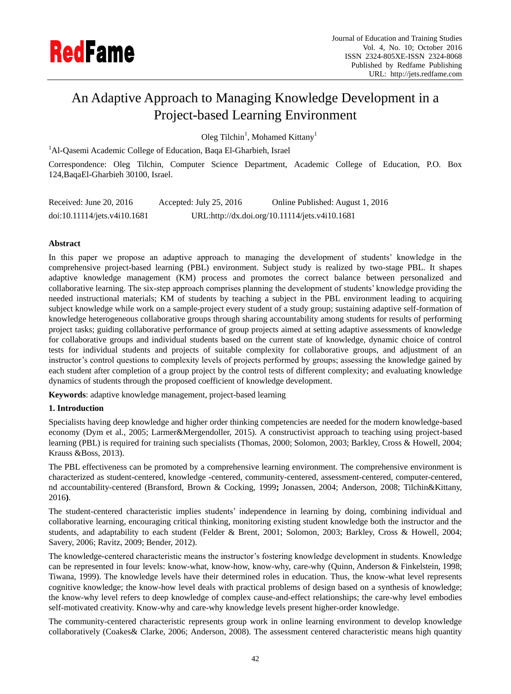

# An Adaptive Approach to Managing Knowledge Development in a Project-based Learning Environment

Oleg Tilchin<sup>1</sup>, Mohamed Kittany<sup>1</sup>

<sup>1</sup>Al-Qasemi Academic College of Education, Baqa El-Gharbieh, Israel

Correspondence: Oleg Tilchin, Computer Science Department, Academic College of Education, P.O. Box 124,BaqaEl-Gharbieh 30100, Israel.

| Received: June 20, $2016$    | Accepted: July $25, 2016$ | Online Published: August 1, 2016               |
|------------------------------|---------------------------|------------------------------------------------|
| doi:10.11114/jets.v4i10.1681 |                           | URL:http://dx.doi.org/10.11114/jets.v4i10.1681 |

# **Abstract**

In this paper we propose an adaptive approach to managing the development of students' knowledge in the comprehensive project-based learning (PBL) environment. Subject study is realized by two-stage PBL. It shapes adaptive knowledge management (KM) process and promotes the correct balance between personalized and collaborative learning. The six-step approach comprises planning the development of students' knowledge providing the needed instructional materials; KM of students by teaching a subject in the PBL environment leading to acquiring subject knowledge while work on a sample-project every student of a study group; sustaining adaptive self-formation of knowledge heterogeneous collaborative groups through sharing accountability among students for results of performing project tasks; guiding collaborative performance of group projects aimed at setting adaptive assessments of knowledge for collaborative groups and individual students based on the current state of knowledge, dynamic choice of control tests for individual students and projects of suitable complexity for collaborative groups, and adjustment of an instructor's control questions to complexity levels of projects performed by groups; assessing the knowledge gained by each student after completion of a group project by the control tests of different complexity; and evaluating knowledge dynamics of students through the proposed coefficient of knowledge development.

**Keywords**: adaptive knowledge management, project-based learning

## **1. Introduction**

Specialists having deep knowledge and higher order thinking competencies are needed for the modern knowledge-based economy (Dym et al., 2005; Larmer&Mergendoller, 2015). A constructivist approach to teaching using project-based learning (PBL) is required for training such specialists (Thomas, 2000; Solomon, 2003; Barkley, Cross & Howell, 2004; Krauss &Boss, 2013).

The PBL effectiveness can be promoted by a comprehensive learning environment. The comprehensive environment is characterized as student-centered, knowledge -centered, community-centered, assessment-centered, computer-centered, nd accountability-centered (Bransford, Brown & Cocking, 1999**;** Jonassen, 2004; Anderson, 2008; Tilchin&Kittany, 2016**)**.

The student-centered characteristic implies students' independence in learning by doing, combining individual and collaborative learning, encouraging critical thinking, monitoring existing student knowledge both the instructor and the students, and adaptability to each student (Felder & Brent, 2001; Solomon, 2003; Barkley, Cross & Howell, 2004; Savery, 2006; Ravitz, 2009; Bender, 2012).

The knowledge-centered characteristic means the instructor's fostering knowledge development in students. Knowledge can be represented in four levels: know-what, know-how, know-why, care-why (Quinn, Anderson & Finkelstein, 1998; Tiwana, 1999). The knowledge levels have their determined roles in education. Thus, the know-what level represents cognitive knowledge; the know-how level deals with practical problems of design based on a synthesis of knowledge; the know-why level refers to deep knowledge of complex cause-and-effect relationships; the care-why level embodies self-motivated creativity. Know-why and care-why knowledge levels present higher-order knowledge.

The community-centered characteristic represents group work in online learning environment to develop knowledge collaboratively (Coakes& Clarke, 2006; Anderson, 2008). The assessment centered characteristic means high quantity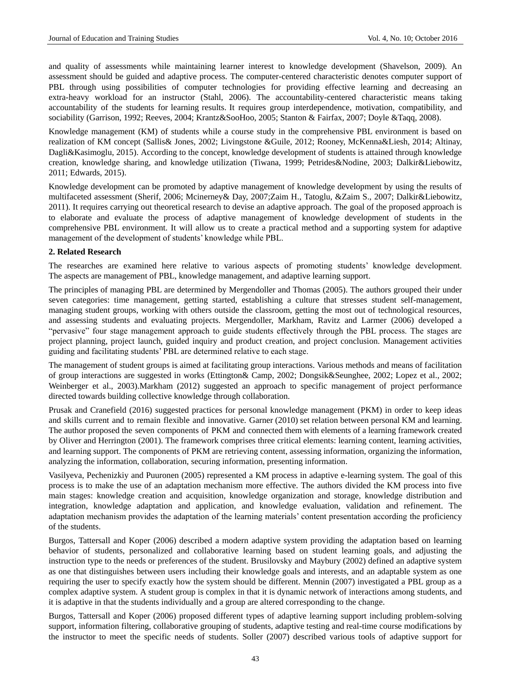and quality of assessments while maintaining learner interest to knowledge development (Shavelson, 2009). An assessment should be guided and adaptive process. The computer-centered characteristic denotes computer support of PBL through using possibilities of computer technologies for providing effective learning and decreasing an extra-heavy workload for an instructor (Stahl, 2006). The accountability-centered characteristic means taking accountability of the students for learning results. It requires group interdependence, motivation, compatibility, and sociability (Garrison, 1992; Reeves, 2004; Krantz&SooHoo, 2005; Stanton & Fairfax, 2007; Doyle &Taqq, 2008).

Knowledge management (KM) of students while a course study in the comprehensive PBL environment is based on realization of KM concept (Sallis& Jones, 2002; Livingstone &Guile, 2012; Rooney, McKenna&Liesh, 2014; Altinay, Dagli&Kasimoglu, 2015). According to the concept, knowledge development of students is attained through knowledge creation, knowledge sharing, and knowledge utilization (Tiwana, 1999; Petrides&Nodine, 2003; Dalkir&Liebowitz, 2011; Edwards, 2015).

Knowledge development can be promoted by adaptive management of knowledge development by using the results of multifaceted assessment (Sherif, 2006; Mcinerney& Day, 2007;Zaim H., Tatoglu, &Zaim S., 2007; Dalkir&Liebowitz, 2011). It requires carrying out theoretical research to devise an adaptive approach. The goal of the proposed approach is to elaborate and evaluate the process of adaptive management of knowledge development of students in the comprehensive PBL environment. It will allow us to create a practical method and a supporting system for adaptive management of the development of students' knowledge while PBL.

## **2. Related Research**

The researches are examined here relative to various aspects of promoting students' knowledge development. The aspects are management of PBL, knowledge management, and adaptive learning support.

The principles of managing PBL are determined by Mergendoller and Thomas (2005). The authors grouped their under seven categories: time management, getting started, establishing a culture that stresses student self-management, managing student groups, working with others outside the classroom, getting the most out of technological resources, and assessing students and evaluating projects. Mergendoller, Markham, Ravitz and Larmer (2006) developed a "pervasive" four stage management approach to guide students effectively through the PBL process. The stages are project planning, project launch, guided inquiry and product creation, and project conclusion. Management activities guiding and facilitating students' PBL are determined relative to each stage.

The management of student groups is aimed at facilitating group interactions. Various methods and means of facilitation of group interactions are suggested in works (Ettington& Camp, 2002; Dongsik&Seunghee, 2002; Lopez et al., 2002; Weinberger et al., 2003).Markham (2012) suggested an approach to specific management of project performance directed towards building collective knowledge through collaboration.

Prusak and Cranefield (2016) suggested practices for personal knowledge management (PKM) in order to keep ideas and skills current and to remain flexible and innovative. Garner (2010) set relation between personal KM and learning. The author proposed the seven components of PKM and connected them with elements of a learning framework created by Oliver and Herrington (2001). The framework comprises three critical elements: learning content, learning activities, and learning support. The components of PKM are retrieving content, assessing information, organizing the information, analyzing the information, collaboration, securing information, presenting information.

Vasilyeva, Pechenizkiy and Puuronen (2005) represented a KM process in adaptive e-learning system. The goal of this process is to make the use of an adaptation mechanism more effective. The authors divided the KM process into five main stages: knowledge creation and acquisition, knowledge organization and storage, knowledge distribution and integration, knowledge adaptation and application, and knowledge evaluation, validation and refinement. The adaptation mechanism provides the adaptation of the learning materials' content presentation according the proficiency of the students.

Burgos, Tattersall and Koper (2006) described a modern adaptive system providing the adaptation based on learning behavior of students, personalized and collaborative learning based on student learning goals, and adjusting the instruction type to the needs or preferences of the student. Brusilovsky and Maybury (2002) defined an adaptive system as one that distinguishes between users including their knowledge goals and interests, and an adaptable system as one requiring the user to specify exactly how the system should be different. Mennin (2007) investigated a PBL group as a complex adaptive system. A student group is complex in that it is dynamic network of interactions among students, and it is adaptive in that the students individually and a group are altered corresponding to the change.

Burgos, Tattersall and Koper (2006) proposed different types of adaptive learning support including problem-solving support, information filtering, collaborative grouping of students, adaptive testing and real-time course modifications by the instructor to meet the specific needs of students. Soller (2007) described various tools of adaptive support for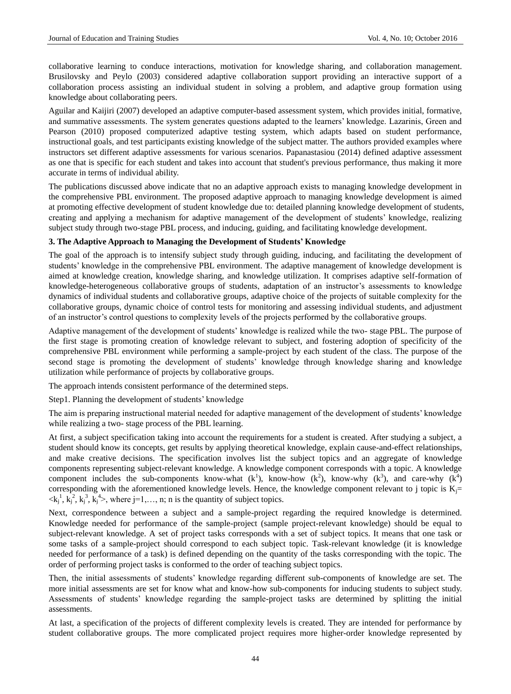collaborative learning to conduce interactions, motivation for knowledge sharing, and collaboration management. Brusilovsky and Peylo (2003) considered adaptive collaboration support providing an interactive support of a collaboration process assisting an individual student in solving a problem, and adaptive group formation using knowledge about collaborating peers.

Aguilar and Kaijiri (2007) developed an adaptive computer-based assessment system, which provides initial, formative, and summative assessments. The system generates questions adapted to the learners' knowledge. Lazarinis, Green and Pearson (2010) proposed computerized adaptive testing system, which adapts based on student performance, instructional goals, and test participants existing knowledge of the subject matter. The authors provided examples where instructors set different adaptive assessments for various scenarios. Papanastasiou (2014) defined adaptive assessment as one that is specific for each student and takes into account that student's previous performance, thus making it more accurate in terms of individual ability.

The publications discussed above indicate that no an adaptive approach exists to managing knowledge development in the comprehensive PBL environment. The proposed adaptive approach to managing knowledge development is aimed at promoting effective development of student knowledge due to: detailed planning knowledge development of students, creating and applying a mechanism for adaptive management of the development of students' knowledge, realizing subject study through two-stage PBL process, and inducing, guiding, and facilitating knowledge development.

#### **3. The Adaptive Approach to Managing the Development of Students' Knowledge**

The goal of the approach is to intensify subject study through guiding, inducing, and facilitating the development of students' knowledge in the comprehensive PBL environment. The adaptive management of knowledge development is aimed at knowledge creation, knowledge sharing, and knowledge utilization. It comprises adaptive self-formation of knowledge-heterogeneous collaborative groups of students, adaptation of an instructor's assessments to knowledge dynamics of individual students and collaborative groups, adaptive choice of the projects of suitable complexity for the collaborative groups, dynamic choice of control tests for monitoring and assessing individual students, and adjustment of an instructor's control questions to complexity levels of the projects performed by the collaborative groups.

Adaptive management of the development of students' knowledge is realized while the two- stage PBL. The purpose of the first stage is promoting creation of knowledge relevant to subject, and fostering adoption of specificity of the comprehensive PBL environment while performing a sample-project by each student of the class. The purpose of the second stage is promoting the development of students' knowledge through knowledge sharing and knowledge utilization while performance of projects by collaborative groups.

The approach intends consistent performance of the determined steps.

Step1. Planning the development of students' knowledge

The aim is preparing instructional material needed for adaptive management of the development of students' knowledge while realizing a two- stage process of the PBL learning.

At first, a subject specification taking into account the requirements for a student is created. After studying a subject, a student should know its concepts, get results by applying theoretical knowledge, explain cause-and-effect relationships, and make creative decisions. The specification involves list the subject topics and an aggregate of knowledge components representing subject-relevant knowledge. A knowledge component corresponds with a topic. A knowledge component includes the sub-components know-what  $(k<sup>1</sup>)$ , know-how  $(k<sup>2</sup>)$ , know-why  $(k<sup>3</sup>)$ , and care-why  $(k<sup>4</sup>)$ corresponding with the aforementioned knowledge levels. Hence, the knowledge component relevant to j topic is  $K_i=$  $\langle k_j^1, k_j^2, k_j^3, k_j^4 \rangle$ , where j=1,..., n; n is the quantity of subject topics.

Next, correspondence between a subject and a sample-project regarding the required knowledge is determined. Knowledge needed for performance of the sample-project (sample project-relevant knowledge) should be equal to subject-relevant knowledge. A set of project tasks corresponds with a set of subject topics. It means that one task or some tasks of a sample-project should correspond to each subject topic. Task-relevant knowledge (it is knowledge needed for performance of a task) is defined depending on the quantity of the tasks corresponding with the topic. The order of performing project tasks is conformed to the order of teaching subject topics.

Then, the initial assessments of students' knowledge regarding different sub-components of knowledge are set. The more initial assessments are set for know what and know-how sub-components for inducing students to subject study. Assessments of students' knowledge regarding the sample-project tasks are determined by splitting the initial assessments.

At last, a specification of the projects of different complexity levels is created. They are intended for performance by student collaborative groups. The more complicated project requires more higher-order knowledge represented by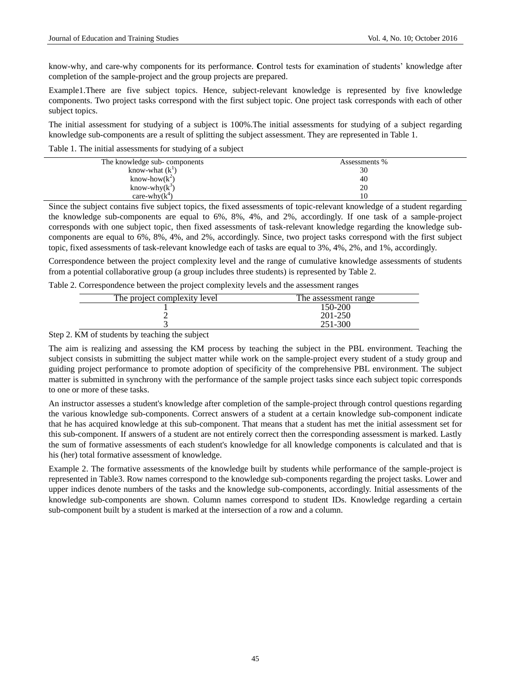know-why, and care-why components for its performance. **C**ontrol tests for examination of students' knowledge after completion of the sample-project and the group projects are prepared.

Example1.There are five subject topics. Hence, subject-relevant knowledge is represented by five knowledge components. Two project tasks correspond with the first subject topic. One project task corresponds with each of other subject topics.

The initial assessment for studying of a subject is 100%.The initial assessments for studying of a subject regarding knowledge sub-components are a result of splitting the subject assessment. They are represented in Table 1.

Table 1. The initial assessments for studying of a subject

| The knowledge sub-components | Assessments % |
|------------------------------|---------------|
| know-what $(k^1)$            | 30            |
| know-how $(k^2)$             | 40            |
| know-why $(k^3)$             | 20            |
| care-why $(k^4)$             | 10            |

Since the subject contains five subject topics, the fixed assessments of topic-relevant knowledge of a student regarding the knowledge sub-components are equal to 6%, 8%, 4%, and 2%, accordingly. If one task of a sample-project corresponds with one subject topic, then fixed assessments of task-relevant knowledge regarding the knowledge subcomponents are equal to 6%, 8%, 4%, and 2%, accordingly. Since, two project tasks correspond with the first subject topic, fixed assessments of task-relevant knowledge each of tasks are equal to 3%, 4%, 2%, and 1%, accordingly.

Correspondence between the project complexity level and the range of cumulative knowledge assessments of students from a potential collaborative group (a group includes three students) is represented by Table 2.

Table 2. Correspondence between the project complexity levels and the assessment ranges

| The project complexity level | The assessment range |
|------------------------------|----------------------|
|                              | 150-200              |
|                              | 201-250              |
|                              | 251-300              |

Step 2. KM of students by teaching the subject

The aim is realizing and assessing the KM process by teaching the subject in the PBL environment. Teaching the subject consists in submitting the subject matter while work on the sample-project every student of a study group and guiding project performance to promote adoption of specificity of the comprehensive PBL environment. The subject matter is submitted in synchrony with the performance of the sample project tasks since each subject topic corresponds to one or more of these tasks.

An instructor assesses a student's knowledge after completion of the sample-project through control questions regarding the various knowledge sub-components. Correct answers of a student at a certain knowledge sub-component indicate that he has acquired knowledge at this sub-component. That means that a student has met the initial assessment set for this sub-component. If answers of a student are not entirely correct then the corresponding assessment is marked. Lastly the sum of formative assessments of each student's knowledge for all knowledge components is calculated and that is his (her) total formative assessment of knowledge.

Example 2. The formative assessments of the knowledge built by students while performance of the sample-project is represented in Table3. Row names correspond to the knowledge sub-components regarding the project tasks. Lower and upper indices denote numbers of the tasks and the knowledge sub-components, accordingly. Initial assessments of the knowledge sub-components are shown. Column names correspond to student IDs. Knowledge regarding a certain sub-component built by a student is marked at the intersection of a row and a column.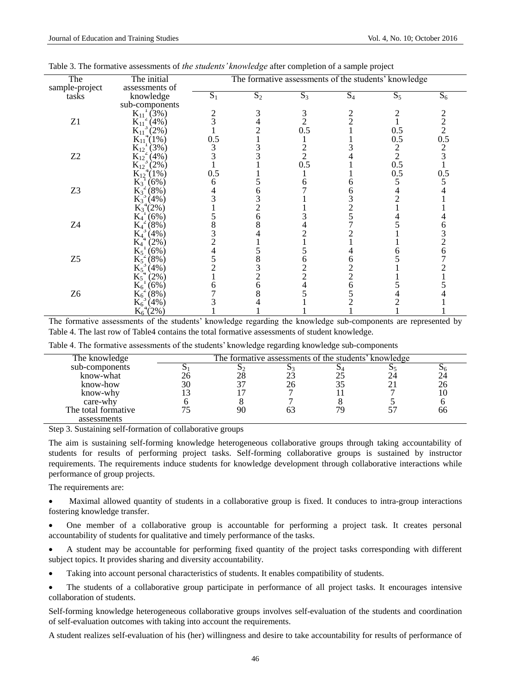| The            | The initial                             | The formative assessments of the students' knowledge |       |                |                |                |               |
|----------------|-----------------------------------------|------------------------------------------------------|-------|----------------|----------------|----------------|---------------|
| sample-project | assessments of                          |                                                      |       |                |                |                |               |
| tasks          | knowledge                               | $S_1$                                                | $S_2$ | $S_3$          | $S_4$          | $S_5$          | $S_6$         |
|                | sub-components                          |                                                      |       |                |                |                |               |
|                | $K_{11}^{1}(3%)$                        |                                                      |       | 3              |                |                |               |
| Z1             | $K_{11}^{2}(4%)$                        |                                                      |       | $\overline{2}$ | $\mathcal{D}$  |                | $\frac{2}{2}$ |
|                | $K_{11}^{11}$ (2%)<br>$K_{11}^{4}(1\%)$ |                                                      |       | 0.5            |                | 0.5            |               |
|                |                                         | 0.5                                                  |       |                |                | 0.5            | 0.5           |
|                | $K_{12}^{1}(3%)$                        |                                                      |       |                |                | $\overline{c}$ |               |
| Z2             | $\overline{K_{12}}^2(4\%)$              |                                                      |       | $\overline{2}$ |                | $\overline{2}$ |               |
|                | $K_{12}^{123}$ (2%)                     |                                                      |       | 0.5            |                | 0.5            |               |
|                | $K_{12}^{12}(1%)$                       | 0.5                                                  |       |                |                | 0.5            | 0.5           |
|                | $K_3^{\text{-}1}(6\%)$                  |                                                      |       |                |                |                |               |
| Z <sub>3</sub> | $\mathrm{K}_3^2(8\%)$                   |                                                      |       |                |                |                |               |
|                | $K_3^3(4%)$                             |                                                      |       |                |                |                |               |
|                | $K_3^{\{4}(2\%)$                        |                                                      |       |                |                |                |               |
|                | $(6\%)$<br>$K_4^{-1}$                   |                                                      |       |                |                |                |               |
| Z4             | $(8\%)$<br>$K_4{}^2$                    |                                                      |       |                |                |                |               |
|                | (4%)<br>$K_{4}^{3}$                     |                                                      |       |                |                |                |               |
|                | $K_4$<br>$(2\%)$                        |                                                      |       |                |                |                |               |
|                | $K_5^{\perp}(6\%)$                      |                                                      |       |                |                |                |               |
| Z <sub>5</sub> | $K_5^2(8\%)$                            |                                                      |       |                | h              |                |               |
|                | $K_5^3(4\%)$                            |                                                      |       |                |                |                |               |
|                | $K_5^4$<br>$(2\%)$                      |                                                      |       |                | $\overline{2}$ |                |               |
|                | (6%)<br>$K_6$                           |                                                      |       |                | 6              |                |               |
| Z <sub>6</sub> | $K_6^2$<br>$(8\%)$                      |                                                      |       |                |                |                |               |
|                | $K_6^3(4%)$                             |                                                      |       |                |                |                |               |
|                | $K_6^{\,4}(2\%)$                        |                                                      |       |                |                |                |               |

The formative assessments of the students' knowledge regarding the knowledge sub-components are represented by Table 4. The last row of Table4 contains the total formative assessments of student knowledge.

| Table 4. The formative assessments of the students' knowledge regarding knowledge sub-components |  |
|--------------------------------------------------------------------------------------------------|--|
|--------------------------------------------------------------------------------------------------|--|

| The knowledge       | The formative assessments of the students' knowledge |  |    |
|---------------------|------------------------------------------------------|--|----|
| sub-components      |                                                      |  |    |
| know-what           |                                                      |  |    |
| know-how            |                                                      |  |    |
| know-why            |                                                      |  |    |
| care-why            |                                                      |  |    |
| The total formative |                                                      |  | hh |
| assessments         |                                                      |  |    |

Step 3. Sustaining self-formation of collaborative groups

The aim is sustaining self-forming knowledge heterogeneous collaborative groups through taking accountability of students for results of performing project tasks. Self-forming collaborative groups is sustained by instructor requirements. The requirements induce students for knowledge development through collaborative interactions while performance of group projects.

The requirements are:

 Maximal allowed quantity of students in a collaborative group is fixed. It conduces to intra-group interactions fostering knowledge transfer.

 One member of a collaborative group is accountable for performing a project task. It creates personal accountability of students for qualitative and timely performance of the tasks.

 A student may be accountable for performing fixed quantity of the project tasks corresponding with different subject topics. It provides sharing and diversity accountability.

- Taking into account personal characteristics of students. It enables compatibility of students.
- The students of a collaborative group participate in performance of all project tasks. It encourages intensive collaboration of students.

Self-forming knowledge heterogeneous collaborative groups involves self-evaluation of the students and coordination of self-evaluation outcomes with taking into account the requirements.

A student realizes self-evaluation of his (her) willingness and desire to take accountability for results of performance of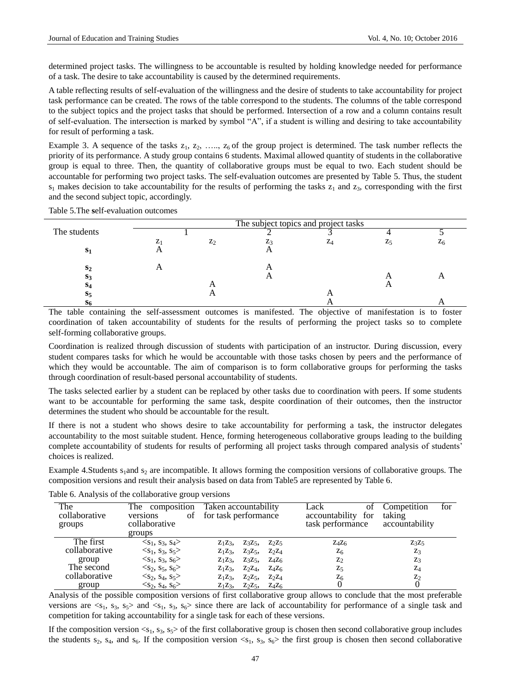determined project tasks. The willingness to be accountable is resulted by holding knowledge needed for performance of a task. The desire to take accountability is caused by the determined requirements.

A table reflecting results of self-evaluation of the willingness and the desire of students to take accountability for project task performance can be created. The rows of the table correspond to the students. The columns of the table correspond to the subject topics and the project tasks that should be performed. Intersection of a row and a column contains result of self-evaluation. The intersection is marked by symbol "A", if a student is willing and desiring to take accountability for result of performing a task.

Example 3. A sequence of the tasks  $z_1, z_2, \ldots, z_6$  of the group project is determined. The task number reflects the priority of its performance. A study group contains 6 students. Maximal allowed quantity of students in the collaborative group is equal to three. Then, the quantity of collaborative groups must be equal to two. Each student should be accountable for performing two project tasks. The self-evaluation outcomes are presented by Table 5. Thus, the student  $s_1$  makes decision to take accountability for the results of performing the tasks  $z_1$  and  $z_3$ , corresponding with the first and the second subject topic, accordingly.

|                | The subject topics and project tasks |       |  |    |  |       |
|----------------|--------------------------------------|-------|--|----|--|-------|
| The students   |                                      |       |  |    |  |       |
|                |                                      | $Z_2$ |  | ZΔ |  | $Z_6$ |
| S <sub>1</sub> |                                      |       |  |    |  |       |
| S <sub>2</sub> |                                      |       |  |    |  |       |
| S3             |                                      |       |  |    |  |       |
| S <sub>4</sub> |                                      |       |  |    |  |       |
| $S_{5}$        |                                      |       |  |    |  |       |
| 56             |                                      |       |  |    |  |       |

Table 5.The **s**elf-evaluation outcomes

The table containing the self-assessment outcomes is manifested. The objective of manifestation is to foster coordination of taken accountability of students for the results of performing the project tasks so to complete self-forming collaborative groups.

Coordination is realized through discussion of students with participation of an instructor. During discussion, every student compares tasks for which he would be accountable with those tasks chosen by peers and the performance of which they would be accountable. The aim of comparison is to form collaborative groups for performing the tasks through coordination of result-based personal accountability of students.

The tasks selected earlier by a student can be replaced by other tasks due to coordination with peers. If some students want to be accountable for performing the same task, despite coordination of their outcomes, then the instructor determines the student who should be accountable for the result.

If there is not a student who shows desire to take accountability for performing a task, the instructor delegates accountability to the most suitable student. Hence, forming heterogeneous collaborative groups leading to the building complete accountability of students for results of performing all project tasks through compared analysis of students' choices is realized.

Example 4.Students  $s_1$  and  $s_2$  are incompatible. It allows forming the composition versions of collaborative groups. The composition versions and result their analysis based on data from Table5 are represented by Table 6.

| The<br>collaborative<br>groups | The composition<br>οf<br>versions<br>collaborative<br>groups | Taken accountability<br>for task performance          | Lack<br>ΟÌ<br>accountability for<br>task performance | for<br>Competition<br>taking<br>accountability |
|--------------------------------|--------------------------------------------------------------|-------------------------------------------------------|------------------------------------------------------|------------------------------------------------|
| The first                      | $\langle S_1, S_3, S_4 \rangle$                              | $Z_1Z_3$<br>$Z_3Z_5$<br>Z <sub>2</sub> Z <sub>5</sub> | $Z_4Z_6$                                             | $Z_3Z_5$                                       |
| collaborative                  | $\langle S_1, S_3, S_5 \rangle$                              | $Z_1Z_3$<br>$Z_3Z_5$<br>$Z_2Z_4$                      | $Z_6$                                                | Z <sub>3</sub>                                 |
| group                          | $\langle S_1, S_3, S_6 \rangle$                              | $Z_1Z_3$<br>$Z_3Z_5$<br>$Z_4Z_6$                      | $Z_2$                                                | Z <sub>3</sub>                                 |
| The second                     | $\langle S_2, S_5, S_6 \rangle$                              | $Z_2Z_4$<br>$Z_4Z_6$<br>$Z_1Z_3$                      | $Z_5$                                                | $Z_4$                                          |
| collaborative                  | $\langle S_2, S_4, S_5 \rangle$                              | $Z_2Z_4$<br>$Z_1Z_3$<br>$Z_2Z_5$                      | $Z_6$                                                | $z_2$                                          |
| group                          | $\langle S_2, S_4, S_6 \rangle$                              | $Z_2Z_5$<br>$Z_1Z_3$<br>$Z_4Z_6$                      |                                                      |                                                |

Table 6. Analysis of the collaborative group versions

Analysis of the possible composition versions of first collaborative group allows to conclude that the most preferable versions are  $\langle s_1, s_3, s_5 \rangle$  and  $\langle s_1, s_3, s_6 \rangle$  since there are lack of accountability for performance of a single task and competition for taking accountability for a single task for each of these versions.

If the composition version  $\langle s_1, s_3, s_5 \rangle$  of the first collaborative group is chosen then second collaborative group includes the students  $s_2$ ,  $s_4$ , and  $s_6$ . If the composition version  $\langle s_1, s_3, s_6 \rangle$  the first group is chosen then second collaborative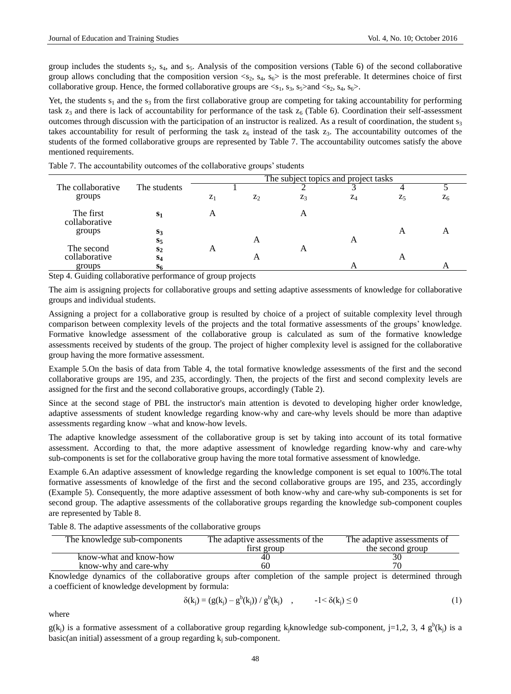group includes the students  $s_2$ ,  $s_4$ , and  $s_5$ . Analysis of the composition versions (Table 6) of the second collaborative group allows concluding that the composition version  $\langle s_2, s_4, s_6 \rangle$  is the most preferable. It determines choice of first collaborative group. Hence, the formed collaborative groups are  $\langle s_1, s_3, s_5 \rangle$  and  $\langle s_2, s_4, s_6 \rangle$ .

Yet, the students  $s_1$  and the  $s_3$  from the first collaborative group are competing for taking accountability for performing task  $z_3$  and there is lack of accountability for performance of the task  $z_6$  (Table 6). Coordination their self-assessment outcomes through discussion with the participation of an instructor is realized. As a result of coordination, the student  $s_3$ takes accountability for result of performing the task  $z_6$  instead of the task  $z_3$ . The accountability outcomes of the students of the formed collaborative groups are represented by Table 7. The accountability outcomes satisfy the above mentioned requirements.

|                            |                | The subject topics and project tasks |       |       |       |       |                |
|----------------------------|----------------|--------------------------------------|-------|-------|-------|-------|----------------|
| The collaborative          | The students   |                                      |       |       |       |       |                |
| groups                     |                | $Z_1$                                | $Z_2$ | $Z_3$ | $Z_4$ | $Z_5$ | $Z_6$          |
| The first<br>collaborative | S <sub>1</sub> | A                                    |       |       |       |       |                |
| groups                     | $S_3$          |                                      |       |       |       | A     | $\overline{A}$ |
|                            | $S_5$          |                                      | A     |       | A     |       |                |
| The second                 | S <sub>2</sub> | A                                    |       |       |       |       |                |
| collaborative              | S <sub>4</sub> |                                      | A     |       |       | A     |                |
| groups                     | S <sub>6</sub> |                                      |       |       | А     |       |                |

Table 7. The accountability outcomes of the collaborative groups' students

Step 4. Guiding collaborative performance of group projects

The aim is assigning projects for collaborative groups and setting adaptive assessments of knowledge for collaborative groups and individual students.

Assigning a project for a collaborative group is resulted by choice of a project of suitable complexity level through comparison between complexity levels of the projects and the total formative assessments of the groups' knowledge. Formative knowledge assessment of the collaborative group is calculated as sum of the formative knowledge assessments received by students of the group. The project of higher complexity level is assigned for the collaborative group having the more formative assessment.

Example 5.On the basis of data from Table 4, the total formative knowledge assessments of the first and the second collaborative groups are 195, and 235, accordingly. Then, the projects of the first and second complexity levels are assigned for the first and the second collaborative groups, accordingly (Table 2).

Since at the second stage of PBL the instructor's main attention is devoted to developing higher order knowledge, adaptive assessments of student knowledge regarding know-why and care-why levels should be more than adaptive assessments regarding know –what and know-how levels.

The adaptive knowledge assessment of the collaborative group is set by taking into account of its total formative assessment. According to that, the more adaptive assessment of knowledge regarding know-why and care-why sub-components is set for the collaborative group having the more total formative assessment of knowledge.

Example 6.An adaptive assessment of knowledge regarding the knowledge component is set equal to 100%.The total formative assessments of knowledge of the first and the second collaborative groups are 195, and 235, accordingly (Example 5). Consequently, the more adaptive assessment of both know-why and care-why sub-components is set for second group. The adaptive assessments of the collaborative groups regarding the knowledge sub-component couples are represented by Table 8.

|  | Table 8. The adaptive assessments of the collaborative groups |  |  |  |
|--|---------------------------------------------------------------|--|--|--|
|--|---------------------------------------------------------------|--|--|--|

| The knowledge sub-components | The adaptive assessments of the | The adaptive assessments of |
|------------------------------|---------------------------------|-----------------------------|
|                              | first group                     | the second group            |
| know-what and know-how       |                                 |                             |
| know-why and care-why        | hU.                             |                             |

Knowledge dynamics of the collaborative groups after completion of the sample project is determined through a coefficient of knowledge development by formula:

$$
\delta(k_j) = (g(k_j) - g^{b}(k_j)) / g^{b}(k_j) \quad , \qquad -1 < \delta(k_j) \le 0 \tag{1}
$$

where

 $g(k_j)$  is a formative assessment of a collaborative group regarding k<sub>j</sub>knowledge sub-component, j=1,2, 3, 4 g<sup>b</sup>(k<sub>j</sub>) is a basic(an initial) assessment of a group regarding  $k_i$  sub-component.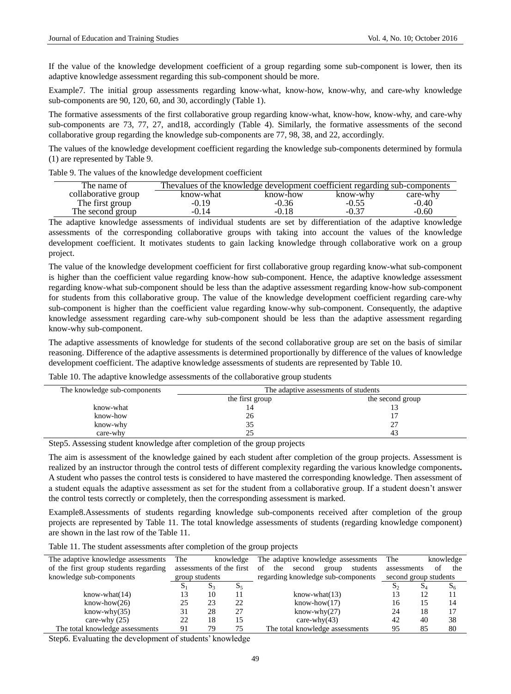If the value of the knowledge development coefficient of a group regarding some sub-component is lower, then its adaptive knowledge assessment regarding this sub-component should be more.

Example7. The initial group assessments regarding know-what, know-how, know-why, and care-why knowledge sub-components are 90, 120, 60, and 30, accordingly (Table 1).

The formative assessments of the first collaborative group regarding know-what, know-how, know-why, and care-why sub-components are 73, 77, 27, and18, accordingly (Table 4). Similarly, the formative assessments of the second collaborative group regarding the knowledge sub-components are 77, 98, 38, and 22, accordingly.

The values of the knowledge development coefficient regarding the knowledge sub-components determined by formula (1) are represented by Table 9.

| The name of         | Thevalues of the knowledge development coefficient regarding sub-components |          |          |          |
|---------------------|-----------------------------------------------------------------------------|----------|----------|----------|
| collaborative group | know-what                                                                   | know-how | know-why | care-why |
| The first group     | $-0.19$                                                                     | $-0.36$  | $-0.55$  | $-0.40$  |
| The second group    | $-0.14$                                                                     | $-0.18$  | $-0.37$  | $-0.60$  |

Table 9. The values of the knowledge development coefficient

The adaptive knowledge assessments of individual students are set by differentiation of the adaptive knowledge assessments of the corresponding collaborative groups with taking into account the values of the knowledge development coefficient. It motivates students to gain lacking knowledge through collaborative work on a group project.

The value of the knowledge development coefficient for first collaborative group regarding know-what sub-component is higher than the coefficient value regarding know-how sub-component. Hence, the adaptive knowledge assessment regarding know-what sub-component should be less than the adaptive assessment regarding know-how sub-component for students from this collaborative group. The value of the knowledge development coefficient regarding care-why sub-component is higher than the coefficient value regarding know-why sub-component. Consequently, the adaptive knowledge assessment regarding care-why sub-component should be less than the adaptive assessment regarding know-why sub-component.

The adaptive assessments of knowledge for students of the second collaborative group are set on the basis of similar reasoning. Difference of the adaptive assessments is determined proportionally by difference of the values of knowledge development coefficient. The adaptive knowledge assessments of students are represented by Table 10.

Table 10. The adaptive knowledge assessments of the collaborative group students

| The knowledge sub-components | The adaptive assessments of students |                  |  |  |
|------------------------------|--------------------------------------|------------------|--|--|
|                              | the first group                      | the second group |  |  |
| know-what                    |                                      |                  |  |  |
| know-how                     | 26                                   |                  |  |  |
| know-why                     | 35                                   | ^¬<br>ا ت        |  |  |
| care-why                     |                                      | 43               |  |  |

Step5. Assessing student knowledge after completion of the group projects

The aim is assessment of the knowledge gained by each student after completion of the group projects. Assessment is realized by an instructor through the control tests of different complexity regarding the various knowledge components**.** A student who passes the control tests is considered to have mastered the corresponding knowledge. Then assessment of a student equals the adaptive assessment as set for the student from a collaborative group. If a student doesn't answer the control tests correctly or completely, then the corresponding assessment is marked.

Example8.Assessments of students regarding knowledge sub-components received after completion of the group projects are represented by Table 11. The total knowledge assessments of students (regarding knowledge component) are shown in the last row of the Table 11.

Table 11. The student assessments after completion of the group projects

| The adaptive knowledge assessments    | The<br>knowledge         |       |                                          | The adaptive knowledge assessments | The                   |     | knowledge |
|---------------------------------------|--------------------------|-------|------------------------------------------|------------------------------------|-----------------------|-----|-----------|
| of the first group students regarding | assessments of the first |       | of<br>second<br>students<br>the<br>group | assessments                        | of                    | the |           |
| knowledge sub-components              | group students           |       |                                          | regarding knowledge sub-components | second group students |     |           |
|                                       | $S_1$                    | $S_3$ | $S_5$                                    |                                    | $S_2$                 | Đл  | $S_6$     |
| $know$ -what $(14)$                   | 13                       | 10    | 11                                       | $know$ -what $(13)$                | 13                    | 12  | 11        |
| $know-how(26)$                        | 25                       | 23    | 22                                       | $know-how(17)$                     | 16                    | 15  | 14        |
| $know-why(35)$                        | 31                       | 28    | 27                                       | $know-why(27)$                     | 24                    | 18  | 17        |
| care-why $(25)$                       | 22                       | 18    | 15                                       | care-why $(43)$                    | 42                    | 40  | 38        |
| The total knowledge assessments       | 91                       | 79    | 75                                       | The total knowledge assessments    | 95                    | 85  | 80        |

Step6. Evaluating the development of students' knowledge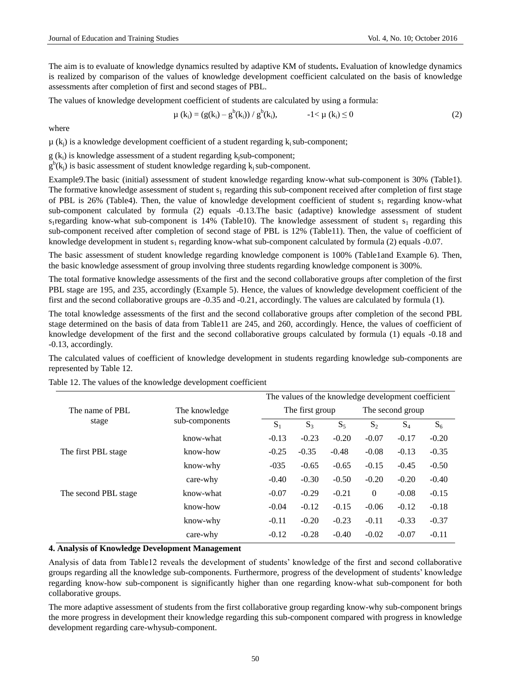The aim is to evaluate of knowledge dynamics resulted by adaptive KM of students**.** Evaluation of knowledge dynamics is realized by comparison of the values of knowledge development coefficient calculated on the basis of knowledge assessments after completion of first and second stages of PBL.

The values of knowledge development coefficient of students are calculated by using a formula:

$$
\mu(k_i) = (g(k_i) - g^b(k_i)) / g^b(k_i), \qquad -1 < \mu(k_i) \le 0 \tag{2}
$$

where

 $\mu(k_i)$  is a knowledge development coefficient of a student regarding  $k_i$  sub-component;

 $g(k_i)$  is knowledge assessment of a student regarding k<sub>i</sub>sub-component;

 $g^b$ (k<sub>j</sub>) is basic assessment of student knowledge regarding k<sub>j</sub> sub-component.

Example9.The basic (initial) assessment of student knowledge regarding know-what sub-component is 30% (Table1). The formative knowledge assessment of student  $s_1$  regarding this sub-component received after completion of first stage of PBL is 26% (Table4). Then, the value of knowledge development coefficient of student  $s_1$  regarding know-what sub-component calculated by formula (2) equals -0.13.The basic (adaptive) knowledge assessment of student s<sub>1</sub>regarding know-what sub-component is 14% (Table10). The knowledge assessment of student s<sub>1</sub> regarding this sub-component received after completion of second stage of PBL is 12% (Table11). Then, the value of coefficient of knowledge development in student s<sub>1</sub> regarding know-what sub-component calculated by formula (2) equals -0.07.

The basic assessment of student knowledge regarding knowledge component is 100% (Table1and Example 6). Then, the basic knowledge assessment of group involving three students regarding knowledge component is 300%.

The total formative knowledge assessments of the first and the second collaborative groups after completion of the first PBL stage are 195, and 235, accordingly (Example 5). Hence, the values of knowledge development coefficient of the first and the second collaborative groups are -0.35 and -0.21, accordingly. The values are calculated by formula (1).

The total knowledge assessments of the first and the second collaborative groups after completion of the second PBL stage determined on the basis of data from Table11 are 245, and 260, accordingly. Hence, the values of coefficient of knowledge development of the first and the second collaborative groups calculated by formula (1) equals -0.18 and -0.13, accordingly.

The calculated values of coefficient of knowledge development in students regarding knowledge sub-components are represented by Table 12.

|                          |                                 |         | The values of the knowledge development coefficient |         |          |                  |         |  |
|--------------------------|---------------------------------|---------|-----------------------------------------------------|---------|----------|------------------|---------|--|
| The name of PBL<br>stage | The knowledge<br>sub-components |         | The first group                                     |         |          | The second group |         |  |
|                          |                                 | $S_1$   | $S_3$                                               | $S_5$   | $S_2$    | $S_4$            | $S_6$   |  |
|                          | know-what                       | $-0.13$ | $-0.23$                                             | $-0.20$ | $-0.07$  | $-0.17$          | $-0.20$ |  |
| The first PBL stage      | know-how                        | $-0.25$ | $-0.35$                                             | $-0.48$ | $-0.08$  | $-0.13$          | $-0.35$ |  |
|                          | know-why                        | $-035$  | $-0.65$                                             | $-0.65$ | $-0.15$  | $-0.45$          | $-0.50$ |  |
|                          | care-why                        | $-0.40$ | $-0.30$                                             | $-0.50$ | $-0.20$  | $-0.20$          | $-0.40$ |  |
| The second PBL stage     | know-what                       | $-0.07$ | $-0.29$                                             | $-0.21$ | $\Omega$ | $-0.08$          | $-0.15$ |  |
|                          | know-how                        | $-0.04$ | $-0.12$                                             | $-0.15$ | $-0.06$  | $-0.12$          | $-0.18$ |  |
|                          | know-why                        | $-0.11$ | $-0.20$                                             | $-0.23$ | $-0.11$  | $-0.33$          | $-0.37$ |  |
|                          | care-why                        | $-0.12$ | $-0.28$                                             | $-0.40$ | $-0.02$  | $-0.07$          | $-0.11$ |  |

Table 12. The values of the knowledge development coefficient

## **4. Analysis of Knowledge Development Management**

Analysis of data from Table12 reveals the development of students' knowledge of the first and second collaborative groups regarding all the knowledge sub-components. Furthermore, progress of the development of students' knowledge regarding know-how sub-component is significantly higher than one regarding know-what sub-component for both collaborative groups.

The more adaptive assessment of students from the first collaborative group regarding know-why sub-component brings the more progress in development their knowledge regarding this sub-component compared with progress in knowledge development regarding care-whysub-component.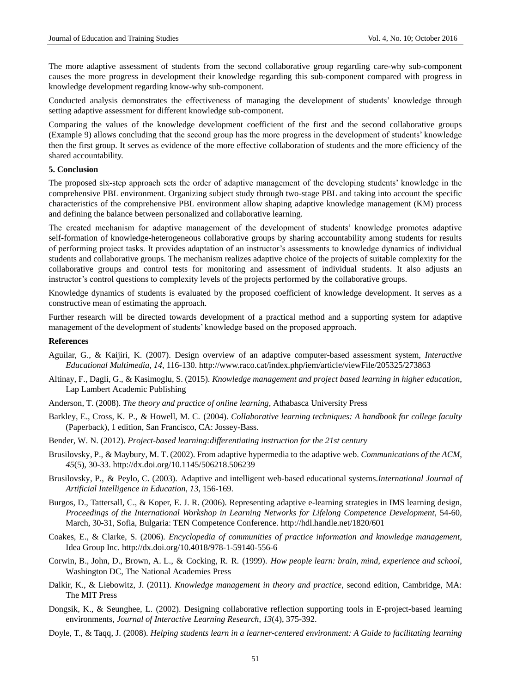The more adaptive assessment of students from the second collaborative group regarding care-why sub-component causes the more progress in development their knowledge regarding this sub-component compared with progress in knowledge development regarding know-why sub-component.

Conducted analysis demonstrates the effectiveness of managing the development of students' knowledge through setting adaptive assessment for different knowledge sub-component.

Comparing the values of the knowledge development coefficient of the first and the second collaborative groups (Example 9) allows concluding that the second group has the more progress in the development of students' knowledge then the first group. It serves as evidence of the more effective collaboration of students and the more efficiency of the shared accountability.

## **5. Conclusion**

The proposed six-step approach sets the order of adaptive management of the developing students' knowledge in the comprehensive PBL environment. Organizing subject study through two-stage PBL and taking into account the specific characteristics of the comprehensive PBL environment allow shaping adaptive knowledge management (KM) process and defining the balance between personalized and collaborative learning.

The created mechanism for adaptive management of the development of students' knowledge promotes adaptive self-formation of knowledge-heterogeneous collaborative groups by sharing accountability among students for results of performing project tasks. It provides adaptation of an instructor's assessments to knowledge dynamics of individual students and collaborative groups. The mechanism realizes adaptive choice of the projects of suitable complexity for the collaborative groups and control tests for monitoring and assessment of individual students. It also adjusts an instructor's control questions to complexity levels of the projects performed by the collaborative groups.

Knowledge dynamics of students is evaluated by the proposed coefficient of knowledge development. It serves as a constructive mean of estimating the approach.

Further research will be directed towards development of a practical method and a supporting system for adaptive management of the development of students' knowledge based on the proposed approach.

## **References**

- Aguilar, G., & Kaijiri, K. (2007). Design overview of an adaptive computer-based assessment system, *Interactive Educational Multimedia*, *14*, 116-130. http://www.raco.cat/index.php/iem/article/viewFile/205325/273863
- Altinay, F., Dagli, G., & Kasimoglu, S. (2015). *Knowledge management and project based learning in higher education*, Lap Lambert Academic Publishing
- Anderson, T. (2008). *The theory and practice of online learning*, Athabasca University Press
- Barkley, E., Cross, K. P., & Howell, M. C. (2004). *Collaborative learning techniques: A handbook for college faculty*  (Paperback), 1 edition, San Francisco, CA: Jossey-Bass.
- Bender, W. N. (2012). *Project-based learning:differentiating instruction for the 21st century*
- Brusilovsky, P., & Maybury, M. T. (2002). From adaptive hypermedia to the adaptive web. *Communications of the ACM*, *45*(5), 30-33[. http://dx.doi.org/10.1145/506218.506239](http://dx.doi.org/10.1145/506218.506239)
- Brusilovsky, P., & Peylo, C. (2003). Adaptive and intelligent web-based educational systems.*International Journal of Artificial Intelligence in Education*, *13*, 156-169.
- Burgos, D., Tattersall, C., & Koper, E. J. R. (2006). Representing adaptive e-learning strategies in IMS learning design, *Proceedings of the International Workshop in Learning Networks for Lifelong Competence Development*, 54-60, March, 30-31, Sofia, Bulgaria: TEN Competence Conference. http://hdl.handle.net/1820/601
- Coakes, E., & Clarke, S. (2006). *Encyclopedia of communities of practice information and knowledge management*, Idea Group Inc.<http://dx.doi.org/10.4018/978-1-59140-556-6>
- Corwin, B., John, D., Brown, A. L., & Cocking, R. R. (1999). *How people learn: brain, mind, experience and school*, Washington DC, The National Academies Press
- Dalkir, K., & Liebowitz, J. (2011). *Knowledge management in theory and practice*, second edition, Cambridge, MA: The MIT Press
- Dongsik, K., & Seunghee, L. (2002). Designing collaborative reflection supporting tools in E-project-based learning environments, *Journal of Interactive Learning Research*, *13*(4), 375-392.
- Doyle, T., & Taqq, J. (2008). *Helping students learn in a learner-centered environment: A Guide to facilitating learning*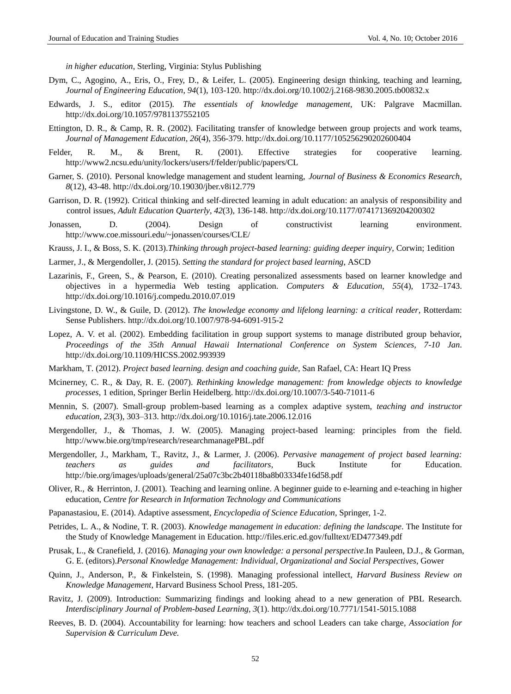*in higher education*, Sterling, Virginia: Stylus Publishing

- Dym, C., Agogino, A., Eris, O., Frey, D., & Leifer, L. (2005). Engineering design thinking, teaching and learning, *Journal of Engineering Education*, *94*(1), 103-120. <http://dx.doi.org/10.1002/j.2168-9830.2005.tb00832.x>
- Edwards, J. S., editor (2015). *The essentials of knowledge management*, UK: Palgrave Macmillan. <http://dx.doi.org/10.1057/9781137552105>
- Ettington, D. R., & Camp, R. R. (2002). Facilitating transfer of knowledge between group projects and work teams, *Journal of Management Education*, *26*(4), 356-379. <http://dx.doi.org/10.1177/105256290202600404>
- Felder, R. M., & Brent, R. (2001). Effective strategies for cooperative learning. http://www2.ncsu.edu/unity/lockers/users/f/felder/public/papers/CL
- Garner, S. (2010). Personal knowledge management and student learning, *Journal of Business & Economics Research*, *8*(12), 43-48. <http://dx.doi.org/10.19030/jber.v8i12.779>
- [Garrison,](http://aeq.sagepub.com/search?author1=D.+R.+Garrison&sortspec=date&submit=Submit) D. R. (1992). Critical thinking and self-directed learning in adult education: an analysis of responsibility and control issues, *Adult Education Quarterly*, *42*(3), 136-148. http://dx.doi.org/10.1177/074171369204200302
- Jonassen, D. (2004). Design of constructivist learning environment. http://www.coe.missouri.edu/~jonassen/courses/CLE/
- Krauss, J. I., & Boss, S. K. (2013).*Thinking through project-based learning: guiding deeper inquiry*, Corwin; 1edition
- Larmer, J., & Mergendoller, J. (2015). *Setting the standard for project based learning*, ASCD
- Lazarinis, F., Green, S., & Pearson, E. (2010). Creating personalized assessments based on learner knowledge and objectives in a hypermedia Web testing application. *Computers & Education*, *55*(4), 1732–1743. <http://dx.doi.org/10.1016/j.compedu.2010.07.019>
- Livingstone, D. W., & Guile, D. (2012). *The knowledge economy and lifelong learning: a critical reader*, Rotterdam: Sense Publishers.<http://dx.doi.org/10.1007/978-94-6091-915-2>
- Lopez, A. V. et al. (2002). Embedding facilitation in group support systems to manage distributed group behavior, *Proceedings of the 35th Annual Hawaii International Conference on System Sciences, 7-10 Jan*. <http://dx.doi.org/10.1109/HICSS.2002.993939>
- Markham, T. (2012). *Project based learning. design and coaching guide*, San Rafael, CA: Heart IQ Press
- Mcinerney, C. R., & Day, R. E. (2007). *Rethinking knowledge management: from knowledge objects to knowledge processes*, 1 edition, Springer Berlin Heidelberg. <http://dx.doi.org/10.1007/3-540-71011-6>
- Mennin, S. (2007). Small-group problem-based learning as a complex adaptive system, *teaching and instructor education, 23*(3), 303–313. <http://dx.doi.org/10.1016/j.tate.2006.12.016>
- Mergendoller, J., & Thomas, J. W. (2005). Managing project-based learning: principles from the field. http://www.bie.org/tmp/research/researchmanagePBL.pdf
- Mergendoller, J., Markham, T., Ravitz, J., & Larmer, J. (2006). *Pervasive management of project based learning: teachers as guides and facilitators*, Buck Institute for Education. http://bie.org/images/uploads/general/25a07c3bc2b40118ba8b03334fe16d58.pdf
- Oliver, R., & Herrinton, J. (2001). Teaching and learning online. A beginner guide to e-learning and e-teaching in higher education, *Centre for Research in Information Technology and Communications*
- Papanastasiou, E. (2014). Adaptive assessment, *Encyclopedia of Science Education*, Springer, 1-2.
- Petrides, L. A., & Nodine, T. R. (2003). *Knowledge management in education: defining the landscape*. The Institute for the Study of Knowledge Management in Education. http://files.eric.ed.gov/fulltext/ED477349.pdf
- Prusak, L., & Cranefield, J. (2016). *Managing your own knowledge: a personal perspective*.In Pauleen, D.J., & Gorman, G. E. (editors).*Personal Knowledge Management: Individual, Organizational and Social Perspectives*, Gower
- Quinn, J., Anderson, P., & Finkelstein, S. (1998). Managing professional intellect, *Harvard Business Review on Knowledge Management*, Harvard Business School Press, 181-205.
- Ravitz, J. (2009). Introduction: Summarizing findings and looking ahead to a new generation of PBL Research. *Interdisciplinary Journal of Problem-based Learning, 3*(1). http://dx.doi.org/10.7771/1541-5015.1088
- Reeves, B. D. (2004). Accountability for learning: how teachers and school Leaders can take charge*, Association for Supervision & Curriculum Deve.*